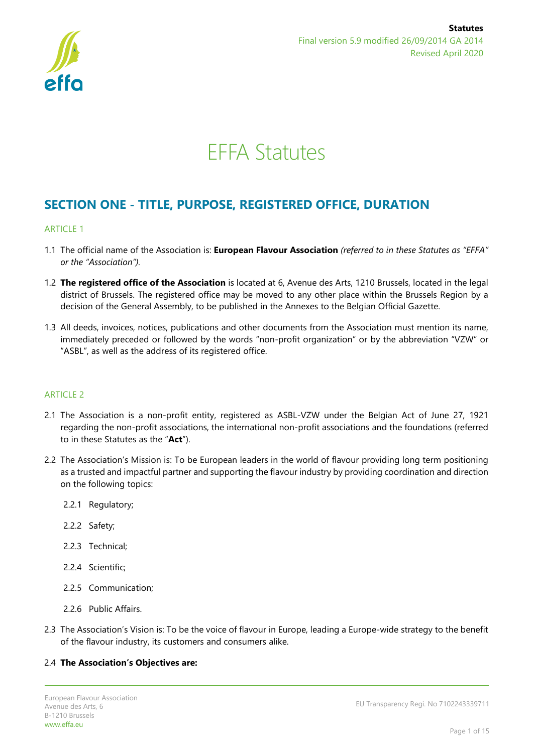

# EFFA Statutes

# **SECTION ONE - TITLE, PURPOSE, REGISTERED OFFICE, DURATION**

# ARTICLE 1

- 1.1 The official name of the Association is: **European Flavour Association** *(referred to in these Statutes as "EFFA" or the "Association").*
- 1.2 **The registered office of the Association** is located at 6, Avenue des Arts, 1210 Brussels, located in the legal district of Brussels. The registered office may be moved to any other place within the Brussels Region by a decision of the General Assembly, to be published in the Annexes to the Belgian Official Gazette.
- 1.3 All deeds, invoices, notices, publications and other documents from the Association must mention its name, immediately preceded or followed by the words "non-profit organization" or by the abbreviation "VZW" or "ASBL", as well as the address of its registered office.

# ARTICLE 2

- 2.1 The Association is a non-profit entity, registered as ASBL-VZW under the Belgian Act of June 27, 1921 regarding the non-profit associations, the international non-profit associations and the foundations (referred to in these Statutes as the "**Act**").
- 2.2 The Association's Mission is: To be European leaders in the world of flavour providing long term positioning as a trusted and impactful partner and supporting the flavour industry by providing coordination and direction on the following topics:
	- 2.2.1 Regulatory;
	- 2.2.2 Safety;
	- 2.2.3 Technical;
	- 2.2.4 Scientific;
	- 2.2.5 Communication;
	- 2.2.6 Public Affairs.
- 2.3 The Association's Vision is: To be the voice of flavour in Europe, leading a Europe-wide strategy to the benefit of the flavour industry, its customers and consumers alike.

#### 2.4 **The Association's Objectives are:**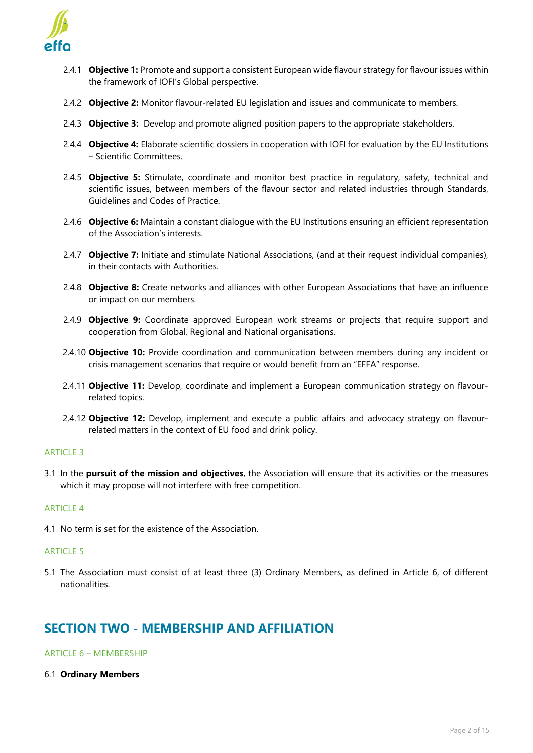

- 2.4.1 **Objective 1:** Promote and support a consistent European wide flavour strategy for flavour issues within the framework of IOFI's Global perspective.
- 2.4.2 **Objective 2:** Monitor flavour-related EU legislation and issues and communicate to members.
- 2.4.3 **Objective 3:** Develop and promote aligned position papers to the appropriate stakeholders.
- 2.4.4 **Objective 4:** Elaborate scientific dossiers in cooperation with IOFI for evaluation by the EU Institutions – Scientific Committees.
- 2.4.5 **Objective 5:** Stimulate, coordinate and monitor best practice in regulatory, safety, technical and scientific issues, between members of the flavour sector and related industries through Standards, Guidelines and Codes of Practice.
- 2.4.6 **Objective 6:** Maintain a constant dialogue with the EU Institutions ensuring an efficient representation of the Association's interests.
- 2.4.7 **Objective 7:** Initiate and stimulate National Associations, (and at their request individual companies), in their contacts with Authorities.
- 2.4.8 **Objective 8:** Create networks and alliances with other European Associations that have an influence or impact on our members.
- 2.4.9 **Objective 9:** Coordinate approved European work streams or projects that require support and cooperation from Global, Regional and National organisations.
- 2.4.10 **Objective 10:** Provide coordination and communication between members during any incident or crisis management scenarios that require or would benefit from an "EFFA" response.
- 2.4.11 **Objective 11:** Develop, coordinate and implement a European communication strategy on flavourrelated topics.
- 2.4.12 **Objective 12:** Develop, implement and execute a public affairs and advocacy strategy on flavourrelated matters in the context of EU food and drink policy.

#### **ARTICLE 3**

3.1 In the **pursuit of the mission and objectives**, the Association will ensure that its activities or the measures which it may propose will not interfere with free competition.

#### **ARTICLE 4**

4.1 No term is set for the existence of the Association.

# ARTICLE 5

5.1 The Association must consist of at least three (3) Ordinary Members, as defined in Article 6, of different nationalities.

# **SECTION TWO - MEMBERSHIP AND AFFILIATION**

## ARTICLE 6 – MEMBERSHIP

6.1 **Ordinary Members**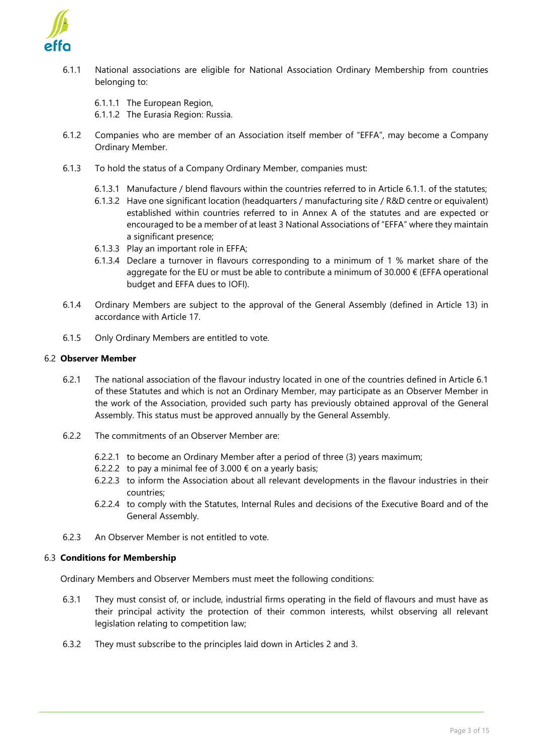

6.1.1 National associations are eligible for National Association Ordinary Membership from countries belonging to:

6.1.1.1 The European Region,

6.1.1.2 The Eurasia Region: Russia.

- 6.1.2 Companies who are member of an Association itself member of "EFFA", may become a Company Ordinary Member.
- 6.1.3 To hold the status of a Company Ordinary Member, companies must:
	- 6.1.3.1 Manufacture / blend flavours within the countries referred to in Article 6.1.1. of the statutes;
	- 6.1.3.2 Have one significant location (headquarters / manufacturing site / R&D centre or equivalent) established within countries referred to in Annex A of the statutes and are expected or encouraged to be a member of at least 3 National Associations of "EFFA" where they maintain a significant presence;
	- 6.1.3.3 Play an important role in EFFA;
	- 6.1.3.4 Declare a turnover in flavours corresponding to a minimum of 1 % market share of the aggregate for the EU or must be able to contribute a minimum of 30.000  $\epsilon$  (EFFA operational budget and EFFA dues to IOFI).
- 6.1.4 Ordinary Members are subject to the approval of the General Assembly (defined in Article 13) in accordance with Article 17.
- 6.1.5 Only Ordinary Members are entitled to vote.

#### 6.2 **Observer Member**

- 6.2.1 The national association of the flavour industry located in one of the countries defined in Article 6.1 of these Statutes and which is not an Ordinary Member, may participate as an Observer Member in the work of the Association, provided such party has previously obtained approval of the General Assembly. This status must be approved annually by the General Assembly.
- 6.2.2 The commitments of an Observer Member are:
	- 6.2.2.1 to become an Ordinary Member after a period of three (3) years maximum;
	- 6.2.2.2 to pay a minimal fee of 3.000  $\epsilon$  on a yearly basis;
	- 6.2.2.3 to inform the Association about all relevant developments in the flavour industries in their countries;
	- 6.2.2.4 to comply with the Statutes, Internal Rules and decisions of the Executive Board and of the General Assembly.
- 6.2.3 An Observer Member is not entitled to vote.

#### 6.3 **Conditions for Membership**

Ordinary Members and Observer Members must meet the following conditions:

- 6.3.1 They must consist of, or include, industrial firms operating in the field of flavours and must have as their principal activity the protection of their common interests, whilst observing all relevant legislation relating to competition law;
- 6.3.2 They must subscribe to the principles laid down in Articles 2 and 3.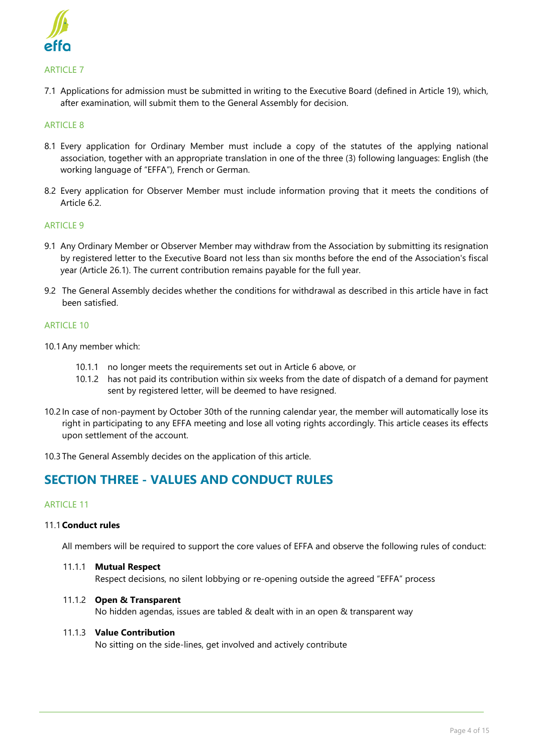

### ARTICLE 7

7.1 Applications for admission must be submitted in writing to the Executive Board (defined in Article 19), which, after examination, will submit them to the General Assembly for decision.

#### **ARTICLE 8**

- 8.1 Every application for Ordinary Member must include a copy of the statutes of the applying national association, together with an appropriate translation in one of the three (3) following languages: English (the working language of "EFFA"), French or German.
- 8.2 Every application for Observer Member must include information proving that it meets the conditions of Article 6.2.

#### **ARTICLE 9**

- 9.1 Any Ordinary Member or Observer Member may withdraw from the Association by submitting its resignation by registered letter to the Executive Board not less than six months before the end of the Association's fiscal year (Article 26.1). The current contribution remains payable for the full year.
- 9.2 The General Assembly decides whether the conditions for withdrawal as described in this article have in fact been satisfied.

#### **ARTICLE 10**

- 10.1Any member which:
	- 10.1.1 no longer meets the requirements set out in Article 6 above, or
	- 10.1.2 has not paid its contribution within six weeks from the date of dispatch of a demand for payment sent by registered letter, will be deemed to have resigned.
- 10.2 In case of non-payment by October 30th of the running calendar year, the member will automatically lose its right in participating to any EFFA meeting and lose all voting rights accordingly. This article ceases its effects upon settlement of the account.
- 10.3 The General Assembly decides on the application of this article.

# **SECTION THREE - VALUES AND CONDUCT RULES**

#### ARTICLE 11

#### 11.1**Conduct rules**

All members will be required to support the core values of EFFA and observe the following rules of conduct:

11.1.1 **Mutual Respect** Respect decisions, no silent lobbying or re-opening outside the agreed "EFFA" process

#### 11.1.2 **Open & Transparent**

No hidden agendas, issues are tabled & dealt with in an open & transparent way

#### 11.1.3 **Value Contribution**

No sitting on the side-lines, get involved and actively contribute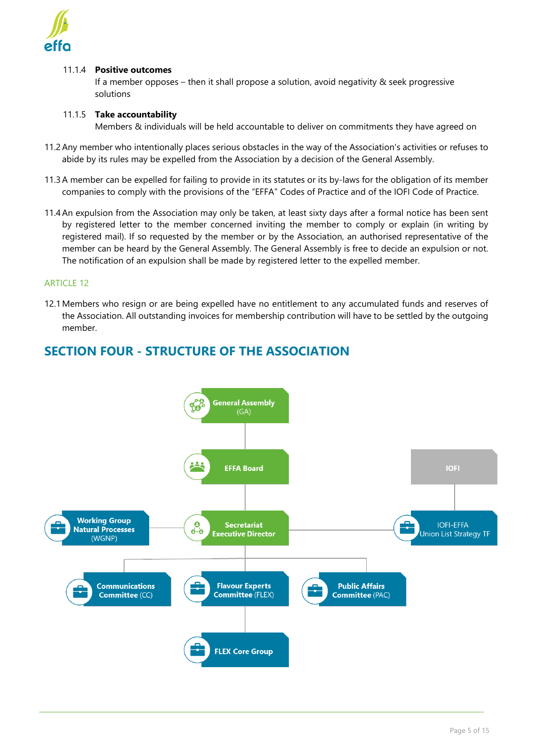

# 11.1.4 **Positive outcomes**

If a member opposes – then it shall propose a solution, avoid negativity & seek progressive solutions

# 11.1.5 **Take accountability**

Members & individuals will be held accountable to deliver on commitments they have agreed on

- 11.2Any member who intentionally places serious obstacles in the way of the Association's activities or refuses to abide by its rules may be expelled from the Association by a decision of the General Assembly.
- 11.3A member can be expelled for failing to provide in its statutes or its by-laws for the obligation of its member companies to comply with the provisions of the "EFFA" Codes of Practice and of the IOFI Code of Practice.
- 11.4An expulsion from the Association may only be taken, at least sixty days after a formal notice has been sent by registered letter to the member concerned inviting the member to comply or explain (in writing by registered mail). If so requested by the member or by the Association, an authorised representative of the member can be heard by the General Assembly. The General Assembly is free to decide an expulsion or not. The notification of an expulsion shall be made by registered letter to the expelled member.

# ARTICLE 12

12.1Members who resign or are being expelled have no entitlement to any accumulated funds and reserves of the Association. All outstanding invoices for membership contribution will have to be settled by the outgoing member.



# **SECTION FOUR - STRUCTURE OF THE ASSOCIATION**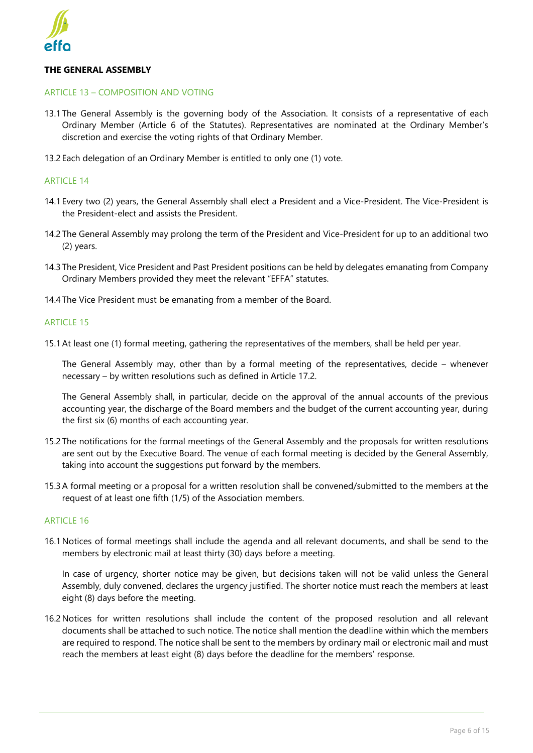

## **THE GENERAL ASSEMBLY**

#### ARTICLE 13 – COMPOSITION AND VOTING

- 13.1 The General Assembly is the governing body of the Association. It consists of a representative of each Ordinary Member (Article 6 of the Statutes). Representatives are nominated at the Ordinary Member's discretion and exercise the voting rights of that Ordinary Member.
- 13.2 Each delegation of an Ordinary Member is entitled to only one (1) vote.

#### ARTICLE 14

- 14.1 Every two (2) years, the General Assembly shall elect a President and a Vice-President. The Vice-President is the President-elect and assists the President.
- 14.2 The General Assembly may prolong the term of the President and Vice-President for up to an additional two (2) years.
- 14.3 The President, Vice President and Past President positions can be held by delegates emanating from Company Ordinary Members provided they meet the relevant "EFFA" statutes.
- 14.4 The Vice President must be emanating from a member of the Board.

#### **ARTICLE 15**

15.1At least one (1) formal meeting, gathering the representatives of the members, shall be held per year.

The General Assembly may, other than by a formal meeting of the representatives, decide – whenever necessary – by written resolutions such as defined in Article 17.2.

The General Assembly shall, in particular, decide on the approval of the annual accounts of the previous accounting year, the discharge of the Board members and the budget of the current accounting year, during the first six (6) months of each accounting year.

- 15.2 The notifications for the formal meetings of the General Assembly and the proposals for written resolutions are sent out by the Executive Board. The venue of each formal meeting is decided by the General Assembly, taking into account the suggestions put forward by the members.
- 15.3A formal meeting or a proposal for a written resolution shall be convened/submitted to the members at the request of at least one fifth (1/5) of the Association members.

#### **ARTICLE 16**

16.1Notices of formal meetings shall include the agenda and all relevant documents, and shall be send to the members by electronic mail at least thirty (30) days before a meeting.

In case of urgency, shorter notice may be given, but decisions taken will not be valid unless the General Assembly, duly convened, declares the urgency justified. The shorter notice must reach the members at least eight (8) days before the meeting.

16.2Notices for written resolutions shall include the content of the proposed resolution and all relevant documents shall be attached to such notice. The notice shall mention the deadline within which the members are required to respond. The notice shall be sent to the members by ordinary mail or electronic mail and must reach the members at least eight (8) days before the deadline for the members' response.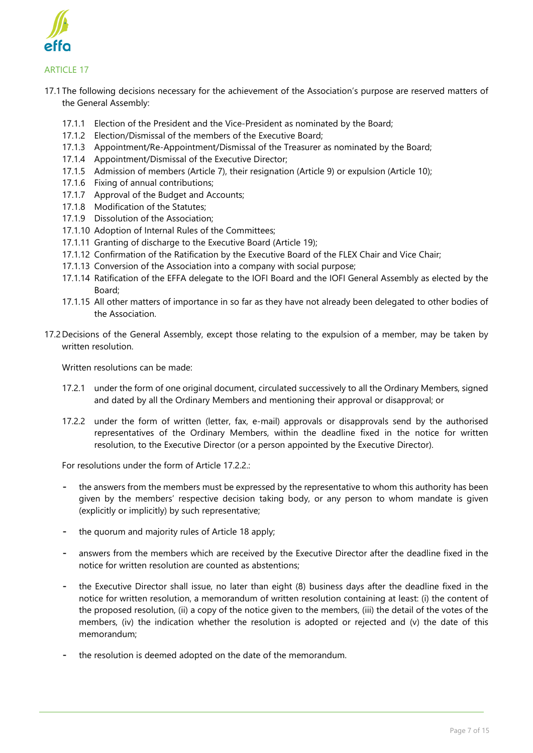

# ARTICLE 17

- 17.1 The following decisions necessary for the achievement of the Association's purpose are reserved matters of the General Assembly:
	- 17.1.1 Election of the President and the Vice-President as nominated by the Board;
	- 17.1.2 Election/Dismissal of the members of the Executive Board;
	- 17.1.3 Appointment/Re-Appointment/Dismissal of the Treasurer as nominated by the Board;
	- 17.1.4 Appointment/Dismissal of the Executive Director;
	- 17.1.5 Admission of members (Article 7), their resignation (Article 9) or expulsion (Article 10);
	- 17.1.6 Fixing of annual contributions;
	- 17.1.7 Approval of the Budget and Accounts;
	- 17.1.8 Modification of the Statutes;
	- 17.1.9 Dissolution of the Association;
	- 17.1.10 Adoption of Internal Rules of the Committees;
	- 17.1.11 Granting of discharge to the Executive Board (Article 19);
	- 17.1.12 Confirmation of the Ratification by the Executive Board of the FLEX Chair and Vice Chair;
	- 17.1.13 Conversion of the Association into a company with social purpose;
	- 17.1.14 Ratification of the EFFA delegate to the IOFI Board and the IOFI General Assembly as elected by the Board;
	- 17.1.15 All other matters of importance in so far as they have not already been delegated to other bodies of the Association.
- 17.2 Decisions of the General Assembly, except those relating to the expulsion of a member, may be taken by written resolution.

Written resolutions can be made:

- 17.2.1 under the form of one original document, circulated successively to all the Ordinary Members, signed and dated by all the Ordinary Members and mentioning their approval or disapproval; or
- 17.2.2 under the form of written (letter, fax, e-mail) approvals or disapprovals send by the authorised representatives of the Ordinary Members, within the deadline fixed in the notice for written resolution, to the Executive Director (or a person appointed by the Executive Director).

For resolutions under the form of Article 17.2.2.1

- the answers from the members must be expressed by the representative to whom this authority has been given by the members' respective decision taking body, or any person to whom mandate is given (explicitly or implicitly) by such representative;
- the quorum and majority rules of Article 18 apply;
- answers from the members which are received by the Executive Director after the deadline fixed in the notice for written resolution are counted as abstentions;
- the Executive Director shall issue, no later than eight (8) business days after the deadline fixed in the notice for written resolution, a memorandum of written resolution containing at least: (i) the content of the proposed resolution, (ii) a copy of the notice given to the members, (iii) the detail of the votes of the members, (iv) the indication whether the resolution is adopted or rejected and (v) the date of this memorandum;
- the resolution is deemed adopted on the date of the memorandum.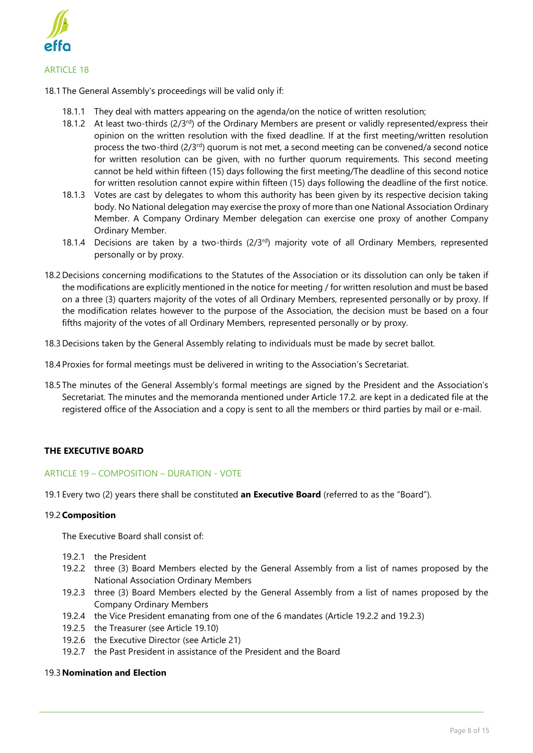

18.1 The General Assembly's proceedings will be valid only if:

- 18.1.1 They deal with matters appearing on the agenda/on the notice of written resolution;
- 18.1.2 At least two-thirds ( $2/3^{rd}$ ) of the Ordinary Members are present or validly represented/express their opinion on the written resolution with the fixed deadline. If at the first meeting/written resolution process the two-third  $(2/3^{rd})$  quorum is not met, a second meeting can be convened/a second notice for written resolution can be given, with no further quorum requirements. This second meeting cannot be held within fifteen (15) days following the first meeting/The deadline of this second notice for written resolution cannot expire within fifteen (15) days following the deadline of the first notice.
- 18.1.3 Votes are cast by delegates to whom this authority has been given by its respective decision taking body. No National delegation may exercise the proxy of more than one National Association Ordinary Member. A Company Ordinary Member delegation can exercise one proxy of another Company Ordinary Member.
- 18.1.4 Decisions are taken by a two-thirds  $(2/3^{rd})$  majority vote of all Ordinary Members, represented personally or by proxy.
- 18.2 Decisions concerning modifications to the Statutes of the Association or its dissolution can only be taken if the modifications are explicitly mentioned in the notice for meeting / for written resolution and must be based on a three (3) quarters majority of the votes of all Ordinary Members, represented personally or by proxy. If the modification relates however to the purpose of the Association, the decision must be based on a four fifths majority of the votes of all Ordinary Members, represented personally or by proxy.
- 18.3 Decisions taken by the General Assembly relating to individuals must be made by secret ballot.
- 18.4 Proxies for formal meetings must be delivered in writing to the Association's Secretariat.
- 18.5 The minutes of the General Assembly's formal meetings are signed by the President and the Association's Secretariat. The minutes and the memoranda mentioned under Article 17.2. are kept in a dedicated file at the registered office of the Association and a copy is sent to all the members or third parties by mail or e-mail.

# **THE EXECUTIVE BOARD**

# ARTICLE 19 – COMPOSITION – DURATION - VOTE

19.1 Every two (2) years there shall be constituted **an Executive Board** (referred to as the "Board").

#### 19.2**Composition**

The Executive Board shall consist of:

- 19.2.1 the President
- 19.2.2 three (3) Board Members elected by the General Assembly from a list of names proposed by the National Association Ordinary Members
- 19.2.3 three (3) Board Members elected by the General Assembly from a list of names proposed by the Company Ordinary Members
- 19.2.4 the Vice President emanating from one of the 6 mandates (Article 19.2.2 and 19.2.3)
- 19.2.5 the Treasurer (see Article 19.10)
- 19.2.6 the Executive Director (see Article 21)
- 19.2.7 the Past President in assistance of the President and the Board

#### 19.3**Nomination and Election**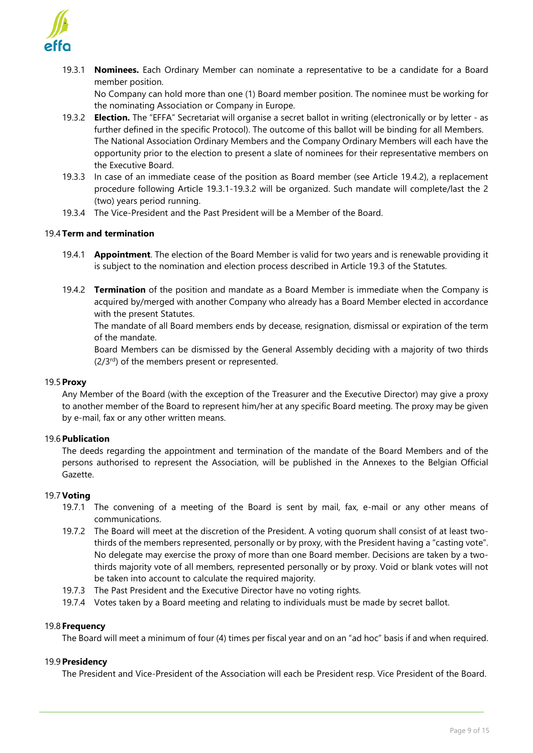

19.3.1 **Nominees.** Each Ordinary Member can nominate a representative to be a candidate for a Board member position.

No Company can hold more than one (1) Board member position. The nominee must be working for the nominating Association or Company in Europe.

- 19.3.2 **Election.** The "EFFA" Secretariat will organise a secret ballot in writing (electronically or by letter as further defined in the specific Protocol). The outcome of this ballot will be binding for all Members. The National Association Ordinary Members and the Company Ordinary Members will each have the opportunity prior to the election to present a slate of nominees for their representative members on the Executive Board.
- 19.3.3 In case of an immediate cease of the position as Board member (see Article 19.4.2), a replacement procedure following Article 19.3.1-19.3.2 will be organized. Such mandate will complete/last the 2 (two) years period running.
- 19.3.4 The Vice-President and the Past President will be a Member of the Board.

# 19.4 **Term and termination**

- 19.4.1 **Appointment**. The election of the Board Member is valid for two years and is renewable providing it is subject to the nomination and election process described in Article 19.3 of the Statutes.
- 19.4.2 **Termination** of the position and mandate as a Board Member is immediate when the Company is acquired by/merged with another Company who already has a Board Member elected in accordance with the present Statutes.

The mandate of all Board members ends by decease, resignation, dismissal or expiration of the term of the mandate.

Board Members can be dismissed by the General Assembly deciding with a majority of two thirds  $(2/3<sup>rd</sup>)$  of the members present or represented.

#### 19.5**Proxy**

Any Member of the Board (with the exception of the Treasurer and the Executive Director) may give a proxy to another member of the Board to represent him/her at any specific Board meeting. The proxy may be given by e-mail, fax or any other written means.

#### 19.6**Publication**

The deeds regarding the appointment and termination of the mandate of the Board Members and of the persons authorised to represent the Association, will be published in the Annexes to the Belgian Official Gazette.

# 19.7**Voting**

- 19.7.1 The convening of a meeting of the Board is sent by mail, fax, e-mail or any other means of communications.
- 19.7.2 The Board will meet at the discretion of the President. A voting quorum shall consist of at least twothirds of the members represented, personally or by proxy, with the President having a "casting vote". No delegate may exercise the proxy of more than one Board member. Decisions are taken by a twothirds majority vote of all members, represented personally or by proxy. Void or blank votes will not be taken into account to calculate the required majority.
- 19.7.3 The Past President and the Executive Director have no voting rights.
- 19.7.4 Votes taken by a Board meeting and relating to individuals must be made by secret ballot.

#### 19.8 **Frequency**

The Board will meet a minimum of four (4) times per fiscal year and on an "ad hoc" basis if and when required.

#### 19.9**Presidency**

The President and Vice-President of the Association will each be President resp. Vice President of the Board.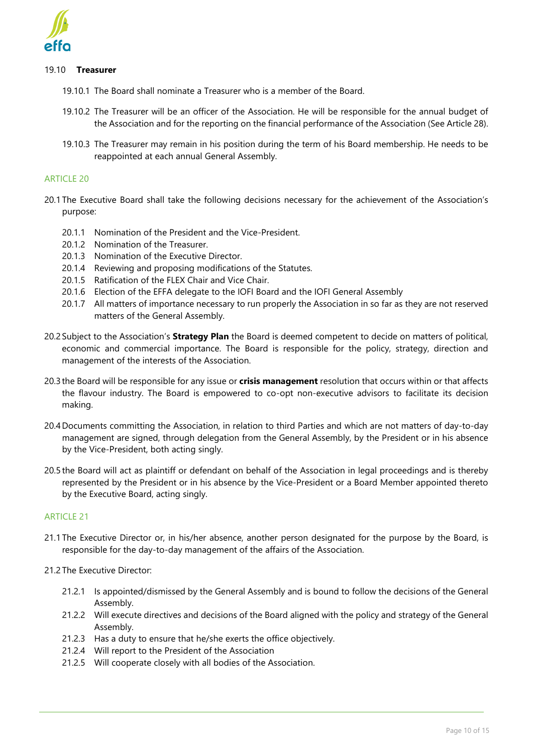

#### 19.10 **Treasurer**

- 19.10.1 The Board shall nominate a Treasurer who is a member of the Board.
- 19.10.2 The Treasurer will be an officer of the Association. He will be responsible for the annual budget of the Association and for the reporting on the financial performance of the Association (See Article 28).
- 19.10.3 The Treasurer may remain in his position during the term of his Board membership. He needs to be reappointed at each annual General Assembly.

#### **ARTICLE 20**

- 20.1 The Executive Board shall take the following decisions necessary for the achievement of the Association's purpose:
	- 20.1.1 Nomination of the President and the Vice-President.
	- 20.1.2 Nomination of the Treasurer.
	- 20.1.3 Nomination of the Executive Director.
	- 20.1.4 Reviewing and proposing modifications of the Statutes.
	- 20.1.5 Ratification of the FLEX Chair and Vice Chair.
	- 20.1.6 Election of the EFFA delegate to the IOFI Board and the IOFI General Assembly
	- 20.1.7 All matters of importance necessary to run properly the Association in so far as they are not reserved matters of the General Assembly.
- 20.2 Subject to the Association's **Strategy Plan** the Board is deemed competent to decide on matters of political, economic and commercial importance. The Board is responsible for the policy, strategy, direction and management of the interests of the Association.
- 20.3 the Board will be responsible for any issue or **crisis management** resolution that occurs within or that affects the flavour industry. The Board is empowered to co-opt non-executive advisors to facilitate its decision making.
- 20.4 Documents committing the Association, in relation to third Parties and which are not matters of day-to-day management are signed, through delegation from the General Assembly, by the President or in his absence by the Vice-President, both acting singly.
- 20.5 the Board will act as plaintiff or defendant on behalf of the Association in legal proceedings and is thereby represented by the President or in his absence by the Vice-President or a Board Member appointed thereto by the Executive Board, acting singly.

# **ARTICLE 21**

- 21.1 The Executive Director or, in his/her absence, another person designated for the purpose by the Board, is responsible for the day-to-day management of the affairs of the Association.
- 21.2 The Executive Director:
	- 21.2.1 Is appointed/dismissed by the General Assembly and is bound to follow the decisions of the General Assembly.
	- 21.2.2 Will execute directives and decisions of the Board aligned with the policy and strategy of the General Assembly.
	- 21.2.3 Has a duty to ensure that he/she exerts the office objectively.
	- 21.2.4 Will report to the President of the Association
	- 21.2.5 Will cooperate closely with all bodies of the Association.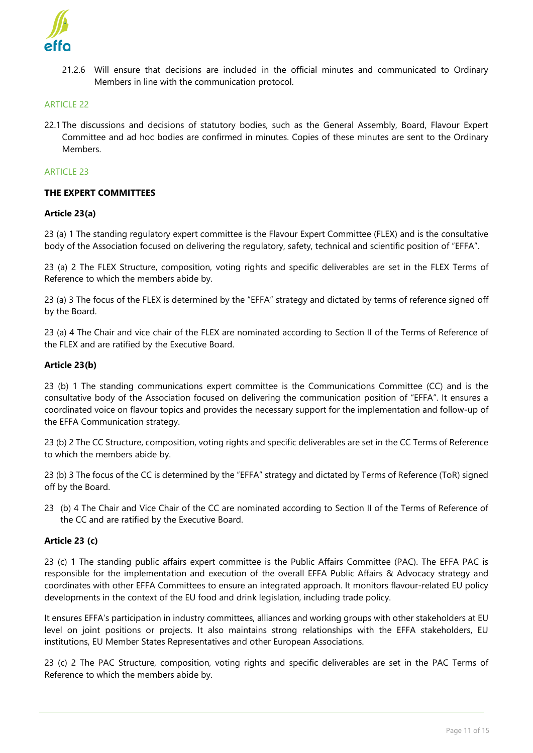

21.2.6 Will ensure that decisions are included in the official minutes and communicated to Ordinary Members in line with the communication protocol.

# ARTICLE 22

22.1 The discussions and decisions of statutory bodies, such as the General Assembly, Board, Flavour Expert Committee and ad hoc bodies are confirmed in minutes. Copies of these minutes are sent to the Ordinary **Members** 

#### **ARTICLE 23**

# **THE EXPERT COMMITTEES**

#### **Article 23(a)**

23 (a) 1 The standing regulatory expert committee is the Flavour Expert Committee (FLEX) and is the consultative body of the Association focused on delivering the regulatory, safety, technical and scientific position of "EFFA".

23 (a) 2 The FLEX Structure, composition, voting rights and specific deliverables are set in the FLEX Terms of Reference to which the members abide by.

23 (a) 3 The focus of the FLEX is determined by the "EFFA" strategy and dictated by terms of reference signed off by the Board.

23 (a) 4 The Chair and vice chair of the FLEX are nominated according to Section II of the Terms of Reference of the FLEX and are ratified by the Executive Board.

#### **Article 23(b)**

23 (b) 1 The standing communications expert committee is the Communications Committee (CC) and is the consultative body of the Association focused on delivering the communication position of "EFFA". It ensures a coordinated voice on flavour topics and provides the necessary support for the implementation and follow-up of the EFFA Communication strategy.

23 (b) 2 The CC Structure, composition, voting rights and specific deliverables are set in the CC Terms of Reference to which the members abide by.

23 (b) 3 The focus of the CC is determined by the "EFFA" strategy and dictated by Terms of Reference (ToR) signed off by the Board.

23 (b) 4 The Chair and Vice Chair of the CC are nominated according to Section II of the Terms of Reference of the CC and are ratified by the Executive Board.

#### **Article 23 (c)**

23 (c) 1 The standing public affairs expert committee is the Public Affairs Committee (PAC). The EFFA PAC is responsible for the implementation and execution of the overall EFFA Public Affairs & Advocacy strategy and coordinates with other EFFA Committees to ensure an integrated approach. It monitors flavour-related EU policy developments in the context of the EU food and drink legislation, including trade policy.

It ensures EFFA's participation in industry committees, alliances and working groups with other stakeholders at EU level on joint positions or projects. It also maintains strong relationships with the EFFA stakeholders, EU institutions, EU Member States Representatives and other European Associations.

23 (c) 2 The PAC Structure, composition, voting rights and specific deliverables are set in the PAC Terms of Reference to which the members abide by.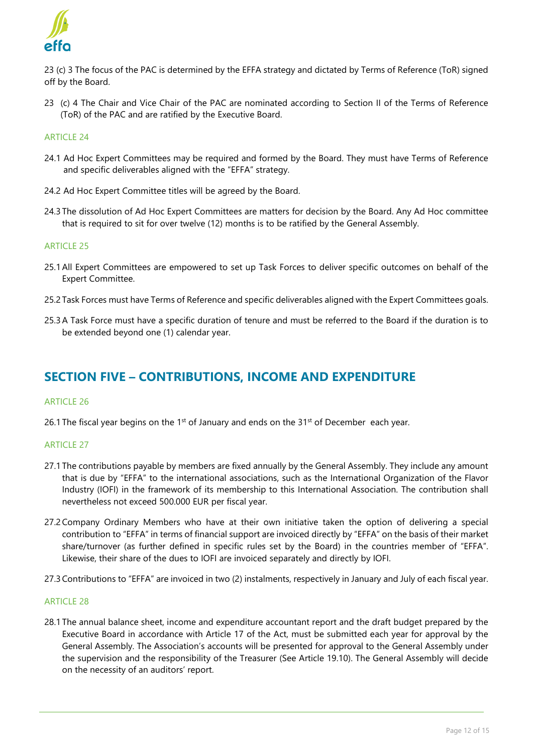

23 (c) 3 The focus of the PAC is determined by the EFFA strategy and dictated by Terms of Reference (ToR) signed off by the Board.

23 (c) 4 The Chair and Vice Chair of the PAC are nominated according to Section II of the Terms of Reference (ToR) of the PAC and are ratified by the Executive Board.

#### **ARTICLE 24**

- 24.1 Ad Hoc Expert Committees may be required and formed by the Board. They must have Terms of Reference and specific deliverables aligned with the "EFFA" strategy.
- 24.2 Ad Hoc Expert Committee titles will be agreed by the Board.
- 24.3 The dissolution of Ad Hoc Expert Committees are matters for decision by the Board. Any Ad Hoc committee that is required to sit for over twelve (12) months is to be ratified by the General Assembly.

#### ARTICLE 25

- 25.1All Expert Committees are empowered to set up Task Forces to deliver specific outcomes on behalf of the Expert Committee.
- 25.2 Task Forces must have Terms of Reference and specific deliverables aligned with the Expert Committees goals.
- 25.3A Task Force must have a specific duration of tenure and must be referred to the Board if the duration is to be extended beyond one (1) calendar year.

# **SECTION FIVE – CONTRIBUTIONS, INCOME AND EXPENDITURE**

#### ARTICLE 26

26.1 The fiscal year begins on the 1<sup>st</sup> of January and ends on the 31<sup>st</sup> of December each year.

# ARTICLE 27

- 27.1 The contributions payable by members are fixed annually by the General Assembly. They include any amount that is due by "EFFA" to the international associations, such as the International Organization of the Flavor Industry (IOFI) in the framework of its membership to this International Association. The contribution shall nevertheless not exceed 500.000 EUR per fiscal year.
- 27.2Company Ordinary Members who have at their own initiative taken the option of delivering a special contribution to "EFFA" in terms of financial support are invoiced directly by "EFFA" on the basis of their market share/turnover (as further defined in specific rules set by the Board) in the countries member of "EFFA". Likewise, their share of the dues to IOFI are invoiced separately and directly by IOFI.
- 27.3Contributions to "EFFA" are invoiced in two (2) instalments, respectively in January and July of each fiscal year.

#### ARTICLE 28

28.1 The annual balance sheet, income and expenditure accountant report and the draft budget prepared by the Executive Board in accordance with Article 17 of the Act, must be submitted each year for approval by the General Assembly. The Association's accounts will be presented for approval to the General Assembly under the supervision and the responsibility of the Treasurer (See Article 19.10). The General Assembly will decide on the necessity of an auditors' report.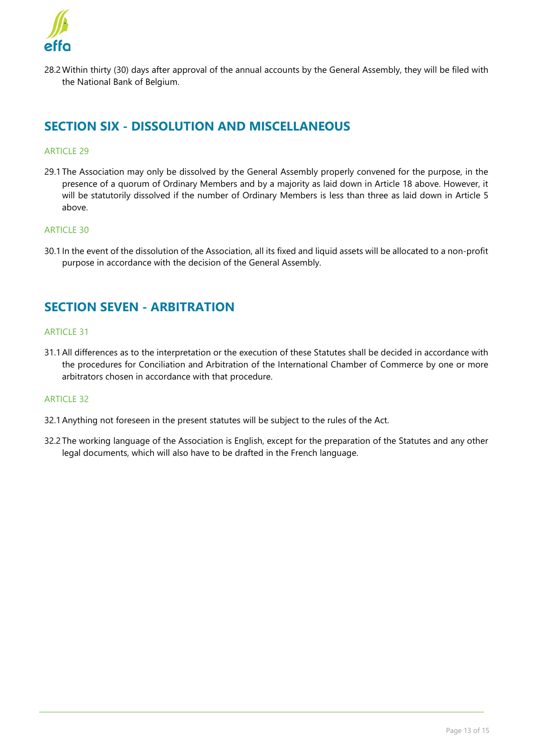

28.2Within thirty (30) days after approval of the annual accounts by the General Assembly, they will be filed with the National Bank of Belgium.

# **SECTION SIX - DISSOLUTION AND MISCELLANEOUS**

# ARTICLE 29

29.1 The Association may only be dissolved by the General Assembly properly convened for the purpose, in the presence of a quorum of Ordinary Members and by a majority as laid down in Article 18 above. However, it will be statutorily dissolved if the number of Ordinary Members is less than three as laid down in Article 5 above.

# ARTICLE 30

30.1 In the event of the dissolution of the Association, all its fixed and liquid assets will be allocated to a non-profit purpose in accordance with the decision of the General Assembly.

# **SECTION SEVEN - ARBITRATION**

## **ARTICLE 31**

31.1All differences as to the interpretation or the execution of these Statutes shall be decided in accordance with the procedures for Conciliation and Arbitration of the International Chamber of Commerce by one or more arbitrators chosen in accordance with that procedure.

#### **ARTICLE 32**

- 32.1Anything not foreseen in the present statutes will be subject to the rules of the Act.
- 32.2 The working language of the Association is English, except for the preparation of the Statutes and any other legal documents, which will also have to be drafted in the French language.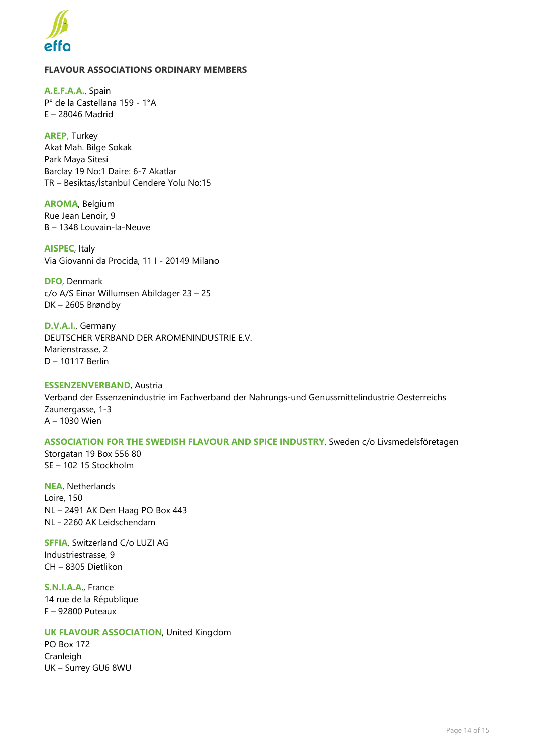

# **FLAVOUR ASSOCIATIONS ORDINARY MEMBERS**

**A.E.F.A.A.**, Spain P° de la Castellana 159 - 1°A E – 28046 Madrid

**AREP,** Turkey Akat Mah. Bilge Sokak Park Maya Sitesi Barclay 19 No:1 Daire: 6-7 Akatlar TR – Besiktas/İstanbul Cendere Yolu No:15

**AROMA**, Belgium Rue Jean Lenoir, 9 B – 1348 Louvain-la-Neuve

**AISPEC**, Italy Via Giovanni da Procida, 11 I - 20149 Milano

**DFO**, Denmark c/o A/S Einar Willumsen Abildager 23 – 25 DK – 2605 Brøndby

**D.V.A.I.**, Germany DEUTSCHER VERBAND DER AROMENINDUSTRIE E.V. Marienstrasse, 2 D – 10117 Berlin

**ESSENZENVERBAND**, Austria Verband der Essenzenindustrie im Fachverband der Nahrungs-und Genussmittelindustrie Oesterreichs Zaunergasse, 1-3 A – 1030 Wien

**ASSOCIATION FOR THE SWEDISH FLAVOUR AND SPICE INDUSTRY**, Sweden c/o Livsmedelsföretagen Storgatan 19 Box 556 80 SE – 102 15 Stockholm

**NEA**, Netherlands Loire, 150 NL – 2491 AK Den Haag PO Box 443 NL - 2260 AK Leidschendam

**SFFIA**, Switzerland C/o LUZI AG Industriestrasse, 9 CH – 8305 Dietlikon

**S.N.I.A.A**., France 14 rue de la République F – 92800 Puteaux

**UK FLAVOUR ASSOCIATION**, United Kingdom PO Box 172 Cranleigh UK – Surrey GU6 8WU